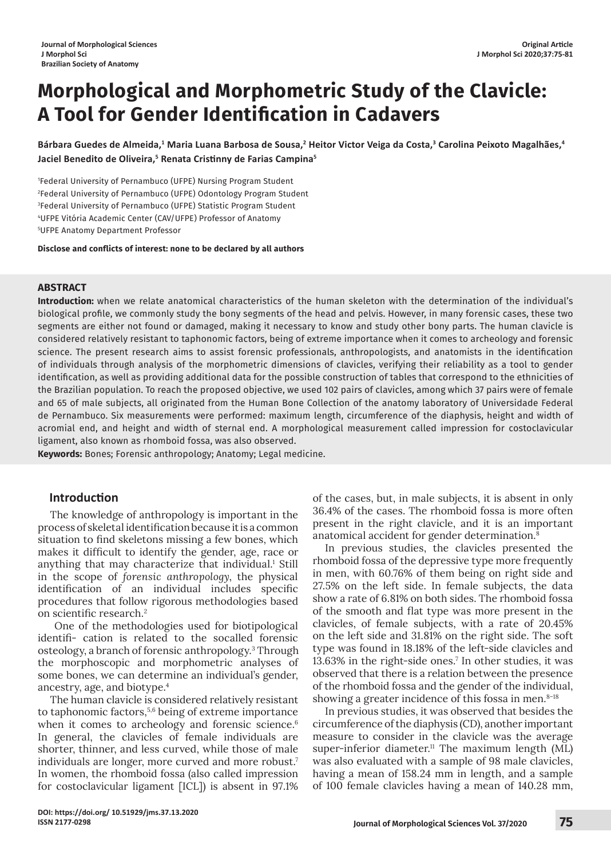# **Morphological and Morphometric Study of the Clavicle: A Tool for Gender Identification in Cadavers**

Bárbara Guedes de Almeida,<sup>1</sup> Maria Luana Barbosa de Sousa,<sup>2</sup> Heitor Victor Veiga da Costa,<sup>3</sup> Carolina Peixoto Magalhães,<sup>4</sup> **Jaciel Benedito de Oliveira,5 Renata Cristinny de Farias Campina<sup>5</sup>**

 Federal University of Pernambuco (UFPE) Nursing Program Student Federal University of Pernambuco (UFPE) Odontology Program Student Federal University of Pernambuco (UFPE) Statistic Program Student UFPE Vitória Academic Center (CAV/UFPE) Professor of Anatomy UFPE Anatomy Department Professor

**Disclose and conflicts of interest: none to be declared by all authors**

### **ABSTRACT**

**Introduction:** when we relate anatomical characteristics of the human skeleton with the determination of the individual's biological profile, we commonly study the bony segments of the head and pelvis. However, in many forensic cases, these two segments are either not found or damaged, making it necessary to know and study other bony parts. The human clavicle is considered relatively resistant to taphonomic factors, being of extreme importance when it comes to archeology and forensic science. The present research aims to assist forensic professionals, anthropologists, and anatomists in the identification of individuals through analysis of the morphometric dimensions of clavicles, verifying their reliability as a tool to gender identification, as well as providing additional data for the possible construction of tables that correspond to the ethnicities of the Brazilian population. To reach the proposed objective, we used 102 pairs of clavicles, among which 37 pairs were of female and 65 of male subjects, all originated from the Human Bone Collection of the anatomy laboratory of Universidade Federal de Pernambuco. Six measurements were performed: maximum length, circumference of the diaphysis, height and width of acromial end, and height and width of sternal end. A morphological measurement called impression for costoclavicular ligament, also known as rhomboid fossa, was also observed.

**Keywords:** Bones; Forensic anthropology; Anatomy; Legal medicine.

### **Introduction**

The knowledge of anthropology is important in the process of skeletal identificationbecause itis a common situation to find skeletons missing a few bones, which makes it difficult to identify the gender, age, race or anything that may characterize that individual.<sup>1</sup> Still in the scope of *forensic anthropology*, the physical identification of an individual includes specific procedures that follow rigorous methodologies based on scientific research.<sup>2</sup>

One of the methodologies used for biotipological identifi- cation is related to the socalled forensic osteology, a branch of forensic anthropology. <sup>3</sup> Through the morphoscopic and morphometric analyses of some bones, we can determine an individual's gender, ancestry, age, and biotype.<sup>4</sup>

The human clavicle is considered relatively resistant to taphonomic factors,<sup>5,6</sup> being of extreme importance when it comes to archeology and forensic science.<sup>6</sup> In general, the clavicles of female individuals are shorter, thinner, and less curved, while those of male individuals are longer, more curved and more robust.<sup>7</sup> In women, the rhomboid fossa (also called impression for costoclavicular ligament [ICL]) is absent in 97.1%

of the cases, but, in male subjects, it is absent in only 36.4% of the cases. The rhomboid fossa is more often present in the right clavicle, and it is an important anatomical accident for gender determination.<sup>8</sup>

In previous studies, the clavicles presented the rhomboid fossa of the depressive type more frequently in men, with 60.76% of them being on right side and 27.5% on the left side. In female subjects, the data show a rate of 6.81% on both sides. The rhomboid fossa of the smooth and flat type was more present in the clavicles, of female subjects, with a rate of 20.45% on the left side and 31.81% on the right side. The soft type was found in 18.18% of the left-side clavicles and 13.63% in the right-side ones.<sup>7</sup> In other studies, it was observed that there is a relation between the presence of the rhomboid fossa and the gender of the individual, showing a greater incidence of this fossa in men. $8-18$ 

In previous studies, it was observed that besides the circumference of the diaphysis (CD), another important measure to consider in the clavicle was the average super-inferior diameter.<sup>11</sup> The maximum length (ML) was also evaluated with a sample of 98 male clavicles, having a mean of 158.24 mm in length, and a sample of 100 female clavicles having a mean of 140.28 mm,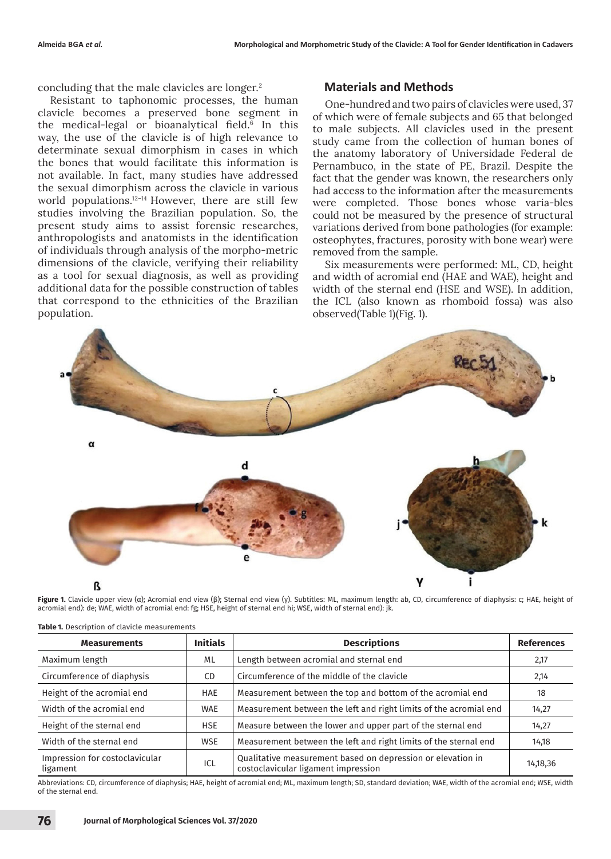concluding that the male clavicles are longer.<sup>2</sup>

Resistant to taphonomic processes, the human clavicle becomes a preserved bone segment in the medical-legal or bioanalytical field.<sup>6</sup> In this way, the use of the clavicle is of high relevance to determinate sexual dimorphism in cases in which the bones that would facilitate this information is not available. In fact, many studies have addressed the sexual dimorphism across the clavicle in various world populations.<sup>12-14</sup> However, there are still few studies involving the Brazilian population. So, the present study aims to assist forensic researches, anthropologists and anatomists in the identification of individuals through analysis of the morpho-metric dimensions of the clavicle, verifying their reliability as a tool for sexual diagnosis, as well as providing additional data for the possible construction of tables that correspond to the ethnicities of the Brazilian population.

#### **Materials and Methods**

One-hundred and two pairs of clavicles were used, 37 of which were of female subjects and 65 that belonged to male subjects. All clavicles used in the present study came from the collection of human bones of the anatomy laboratory of Universidade Federal de Pernambuco, in the state of PE, Brazil. Despite the fact that the gender was known, the researchers only had access to the information after the measurements were completed. Those bones whose varia-bles could not be measured by the presence of structural variations derived from bone pathologies (for example: osteophytes, fractures, porosity with bone wear) were removed from the sample.

Six measurements were performed: ML, CD, height and width of acromial end (HAE and WAE), height and width of the sternal end (HSE and WSE). In addition, the ICL (also known as rhomboid fossa) was also observed(Table 1)(Fig. 1).



**Figure 1.** Clavicle upper view (α); Acromial end view (β); Sternal end view (γ). Subtitles: ML, maximum length: ab, CD, circumference of diaphysis: c; HAE, height of acromial end): de; WAE, width of acromial end: fg; HSE, height of sternal end hi; WSE, width of sternal end): jk.

| <b>Measurements</b>                        | <b>Initials</b> | <b>Descriptions</b>                                                                                | <b>References</b> |
|--------------------------------------------|-----------------|----------------------------------------------------------------------------------------------------|-------------------|
| Maximum length                             | ML              | Length between acromial and sternal end                                                            | 2,17              |
| Circumference of diaphysis                 | CD.             | Circumference of the middle of the clavicle                                                        | 2,14              |
| Height of the acromial end                 | <b>HAE</b>      | Measurement between the top and bottom of the acromial end                                         | 18                |
| Width of the acromial end                  | <b>WAE</b>      | Measurement between the left and right limits of the acromial end                                  | 14,27             |
| Height of the sternal end                  | <b>HSE</b>      | Measure between the lower and upper part of the sternal end                                        | 14,27             |
| Width of the sternal end                   | <b>WSE</b>      | Measurement between the left and right limits of the sternal end                                   | 14,18             |
| Impression for costoclavicular<br>ligament | ICL             | Qualitative measurement based on depression or elevation in<br>costoclavicular ligament impression | 14,18,36          |

**Table 1.** Description of clavicle measurements

Abbreviations: CD, circumference of diaphysis; HAE, height of acromial end; ML, maximum length; SD, standard deviation; WAE, width of the acromial end; WSE, width of the sternal end.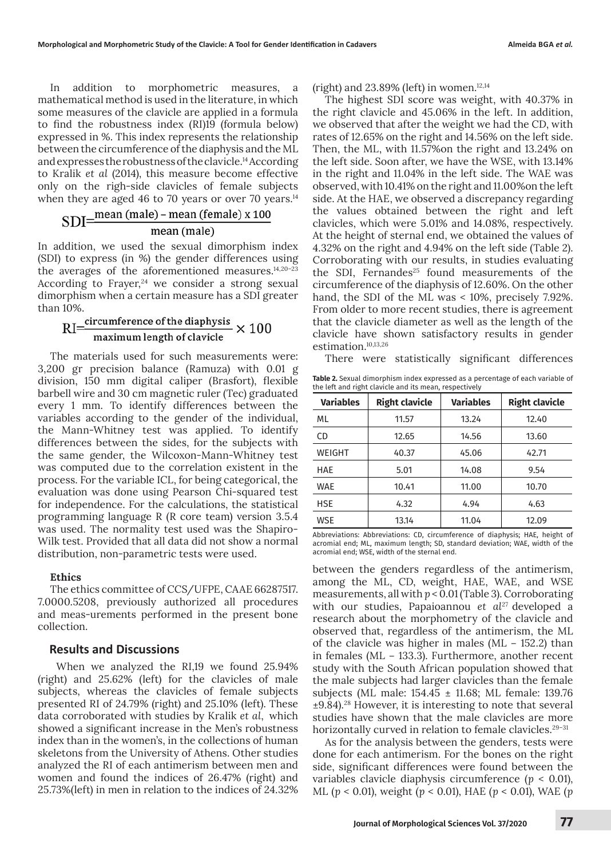In addition to morphometric measures, a mathematical method is used in the literature, in which some measures of the clavicle are applied in a formula to find the robustness index (RI)19 (formula below) expressed in %. This index represents the relationship between the circumference of the diaphysis and the ML and expresses the robustness of the clavicle.<sup>14</sup> According to Kralik *et al* (2014), this measure become effective only on the righ-side clavicles of female subjects

# when they are aged 46 to 70 years or over 70 years.<sup>14</sup><br>SDI= $\frac{mean (male) - mean (female) \times 100}{=}$ mean (male)

In addition, we used the sexual dimorphism index (SDI) to express (in %) the gender differences using the averages of the aforementioned measures.<sup>14,20-23</sup> According to Frayer, $24$  we consider a strong sexual dimorphism when a certain measure has a SDI greater than 10%.

# $\text{RI} \text{=} \frac{\text{circumference of the diaphysis}}{\text{maximum length of clavicle}} \times 100$

The materials used for such measurements were: 3,200 gr precision balance (Ramuza) with 0.01 g division, 150 mm digital caliper (Brasfort), flexible barbell wire and 30 cm magnetic ruler (Tec) graduated every 1 mm. To identify differences between the variables according to the gender of the individual, the Mann-Whitney test was applied. To identify differences between the sides, for the subjects with the same gender, the Wilcoxon-Mann-Whitney test was computed due to the correlation existent in the process. For the variable ICL, for being categorical, the evaluation was done using Pearson Chi-squared test for independence. For the calculations, the statistical programming language R (R core team) version 3.5.4 was used. The normality test used was the Shapiro-Wilk test. Provided that all data did not show a normal distribution, non-parametric tests were used.

#### **Ethics**

The ethics committee of CCS/UFPE, CAAE 66287517. 7.0000.5208, previously authorized all procedures and meas-urements performed in the present bone collection.

#### **Results and Discussions**

 When we analyzed the RI,19 we found 25.94% (right) and 25.62% (left) for the clavicles of male subjects, whereas the clavicles of female subjects presented RI of 24.79% (right) and 25.10% (left). These data corroborated with studies by Kralik *et al*, which showed a significant increase in the Men's robustness index than in the women's, in the collections of human skeletons from the University of Athens. Other studies analyzed the RI of each antimerism between men and women and found the indices of 26.47% (right) and 25.73%(left) in men in relation to the indices of 24.32% (right) and  $23.89\%$  (left) in women.<sup>12,14</sup>

The highest SDI score was weight, with 40.37% in the right clavicle and 45.06% in the left. In addition, we observed that after the weight we had the CD, with rates of 12.65% on the right and 14.56% on the left side. Then, the ML, with 11.57%on the right and 13.24% on the left side. Soon after, we have the WSE, with 13.14% in the right and 11.04% in the left side. The WAE was observed, with 10.41% on the right and 11.00%on the left side. At the HAE, we observed a discrepancy regarding the values obtained between the right and left clavicles, which were 5.01% and 14.08%, respectively. At the height of sternal end, we obtained the values of 4.32% on the right and 4.94% on the left side (Table 2). Corroborating with our results, in studies evaluating the SDI, Fernandes<sup>25</sup> found measurements of the circumference of the diaphysis of 12.60%. On the other hand, the SDI of the ML was < 10%, precisely 7.92%. From older to more recent studies, there is agreement that the clavicle diameter as well as the length of the clavicle have shown satisfactory results in gender estimation.10,13,26

There were statistically significant differences

**Table 2.** Sexual dimorphism index expressed as a percentage of each variable of the left and right clavicle and its mean, respectively

| <b>Variables</b> | <b>Right clavicle</b> | <b>Variables</b> | <b>Right clavicle</b> |  |
|------------------|-----------------------|------------------|-----------------------|--|
| ML               | 11.57                 | 13.24            | 12.40                 |  |
| <b>CD</b>        | 12.65                 | 14.56            | 13.60                 |  |
| WEIGHT           | 40.37                 | 45.06            | 42.71                 |  |
| HAE              | 5.01                  | 14.08            | 9.54                  |  |
| WAE              | 10.41                 | 11.00            | 10.70                 |  |
| HSE              | 4.32                  | 4.94             | 4.63                  |  |
| WSE              | 13.14                 | 11.04            | 12.09                 |  |

Abbreviations: Abbreviations: CD, circumference of diaphysis; HAE, height of acromial end; ML, maximum length; SD, standard deviation; WAE, width of the acromial end; WSE, width of the sternal end.

between the genders regardless of the antimerism, among the ML, CD, weight, HAE, WAE, and WSE measurements, all with *p* < 0.01 (Table 3). Corroborating with our studies, Papaioannou *et al<sup>27</sup>* developed a research about the morphometry of the clavicle and observed that, regardless of the antimerism, the ML of the clavicle was higher in males (ML − 152.2) than in females (ML − 133.3). Furthermore, another recent study with the South African population showed that the male subjects had larger clavicles than the female subjects (ML male: 154.45 ± 11.68; ML female: 139.76  $\pm$ 9.84).<sup>28</sup> However, it is interesting to note that several studies have shown that the male clavicles are more horizontally curved in relation to female clavicles.<sup>29-31</sup>

As for the analysis between the genders, tests were done for each antimerism. For the bones on the right side, significant differences were found between the variables clavicle diaphysis circumference (*p* < 0.01), ML (*p* < 0.01), weight (*p* < 0.01), HAE (*p* < 0.01), WAE (*p*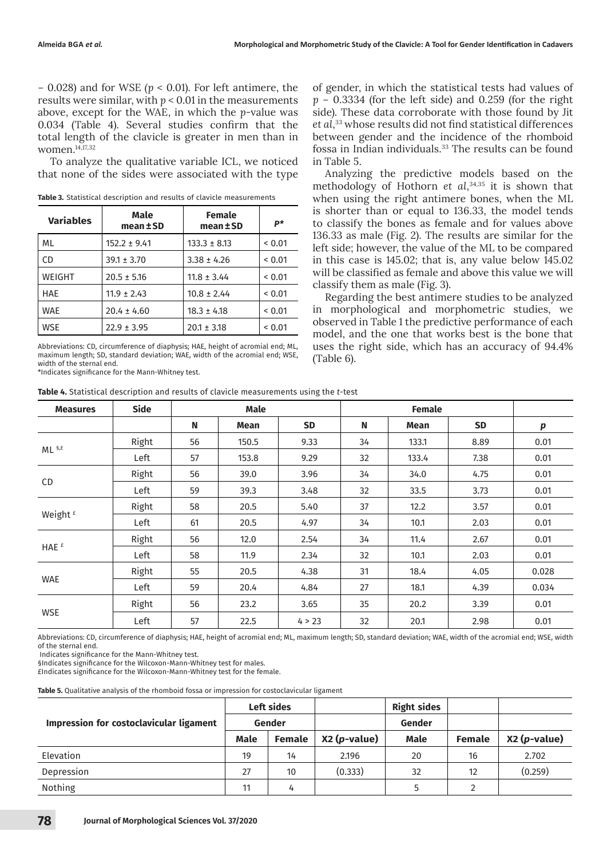− 0.028) and for WSE *(p* < 0.01). For left antimere, the results were similar, with  $p < 0.01$  in the measurements above, except for the WAE, in which the *p*-value was 0.034 (Table 4). Several studies confirm that the total length of the clavicle is greater in men than in women.14,17,32

To analyze the qualitative variable ICL, we noticed that none of the sides were associated with the type

| <b>Variables</b> | Male<br>mean±SD  | <b>Female</b><br>mean±SD | P*          |
|------------------|------------------|--------------------------|-------------|
| ML               | $152.2 \pm 9.41$ | $133.3 \pm 8.13$         | ${}_{0.01}$ |
| CD               | $39.1 \pm 3.70$  | $3.38 \pm 4.26$          | ${}_{0.01}$ |
| WEIGHT           | $20.5 \pm 5.16$  | $11.8 \pm 3.44$          | ${}_{0.01}$ |
| <b>HAE</b>       | $11.9 \pm 2.43$  | $10.8 \pm 2.44$          | 0.01        |
| <b>WAE</b>       | $20.4 \pm 4.60$  | $18.3 \pm 4.18$          | ${}_{0.01}$ |
| <b>WSE</b>       | $22.9 \pm 3.95$  | $20.1 \pm 3.18$          | < 0.01      |

**Table 3.** Statistical description and results of clavicle measurements

Abbreviations: CD, circumference of diaphysis; HAE, height of acromial end; ML, maximum length; SD, standard deviation; WAE, width of the acromial end; WSE, width of the sternal end.

\*Indicates significance for the Mann-Whitney test.

**Table 4.** Statistical description and results of clavicle measurements using the *t*-test

of gender, in which the statistical tests had values of *p* − 0.3334 (for the left side) and 0.259 (for the right side). These data corroborate with those found by Jit *et al*, <sup>33</sup> whose results did not find statistical differences between gender and the incidence of the rhomboid fossa in Indian individuals.<sup>33</sup> The results can be found in Table 5.

Analyzing the predictive models based on the methodology of Hothorn *et al*, 34,35 it is shown that when using the right antimere bones, when the ML is shorter than or equal to 136.33, the model tends to classify the bones as female and for values above 136.33 as male (Fig. 2). The results are similar for the left side; however, the value of the ML to be compared in this case is 145.02; that is, any value below 145.02 will be classified as female and above this value we will classify them as male (Fig. 3).

Regarding the best antimere studies to be analyzed in morphological and morphometric studies, we observed in Table 1 the predictive performance of each model, and the one that works best is the bone that uses the right side, which has an accuracy of 94.4% (Table 6).

| <b>Measures</b>     | <b>Side</b> | <b>Male</b> |       |           | <b>Female</b> |       |           |       |
|---------------------|-------------|-------------|-------|-----------|---------------|-------|-----------|-------|
|                     |             | N           | Mean  | <b>SD</b> | N             | Mean  | <b>SD</b> | р     |
|                     | Right       | 56          | 150.5 | 9.33      | 34            | 133.1 | 8.89      | 0.01  |
| $ML$ s, $E$         | Left        | 57          | 153.8 | 9.29      | 32            | 133.4 | 7.38      | 0.01  |
|                     | Right       | 56          | 39.0  | 3.96      | 34            | 34.0  | 4.75      | 0.01  |
| <b>CD</b>           | Left        | 59          | 39.3  | 3.48      | 32            | 33.5  | 3.73      | 0.01  |
|                     | Right       | 58          | 20.5  | 5.40      | 37            | 12.2  | 3.57      | 0.01  |
| Weight <sup>£</sup> | Left        | 61          | 20.5  | 4.97      | 34            | 10.1  | 2.03      | 0.01  |
|                     | Right       | 56          | 12.0  | 2.54      | 34            | 11.4  | 2.67      | 0.01  |
| HAE <sup>£</sup>    | Left        | 58          | 11.9  | 2.34      | 32            | 10.1  | 2.03      | 0.01  |
|                     | Right       | 55          | 20.5  | 4.38      | 31            | 18.4  | 4.05      | 0.028 |
| <b>WAE</b>          | Left        | 59          | 20.4  | 4.84      | 27            | 18.1  | 4.39      | 0.034 |
| <b>WSE</b>          | Right       | 56          | 23.2  | 3.65      | 35            | 20.2  | 3.39      | 0.01  |
|                     | Left        | 57          | 22.5  | 4 > 23    | 32            | 20.1  | 2.98      | 0.01  |

Abbreviations: CD, circumference of diaphysis; HAE, height of acromial end; ML, maximum length; SD, standard deviation; WAE, width of the acromial end; WSE, width of the sternal end.

Indicates significance for the Mann-Whitney test.

§Indicates significance for the Wilcoxon-Mann-Whitney test for males.

£Indicates significance for the Wilcoxon-Mann-Whitney test for the female.

**Table 5.** Qualitative analysis of the rhomboid fossa or impression for costoclavicular ligament

|                                         | Left sides |               |               | <b>Right sides</b> |               |               |
|-----------------------------------------|------------|---------------|---------------|--------------------|---------------|---------------|
| Impression for costoclavicular ligament |            | Gender        |               | Gender             |               |               |
|                                         | Male       | <b>Female</b> | $X2(p-value)$ | <b>Male</b>        | <b>Female</b> | $X2(p-value)$ |
| Elevation                               | 19         | 14            | 2.196         | 20                 | 16            | 2.702         |
| Depression                              | 27         | 10            | (0.333)       | 32                 | 12            | (0.259)       |
| Nothing                                 | 11         | 4             |               |                    |               |               |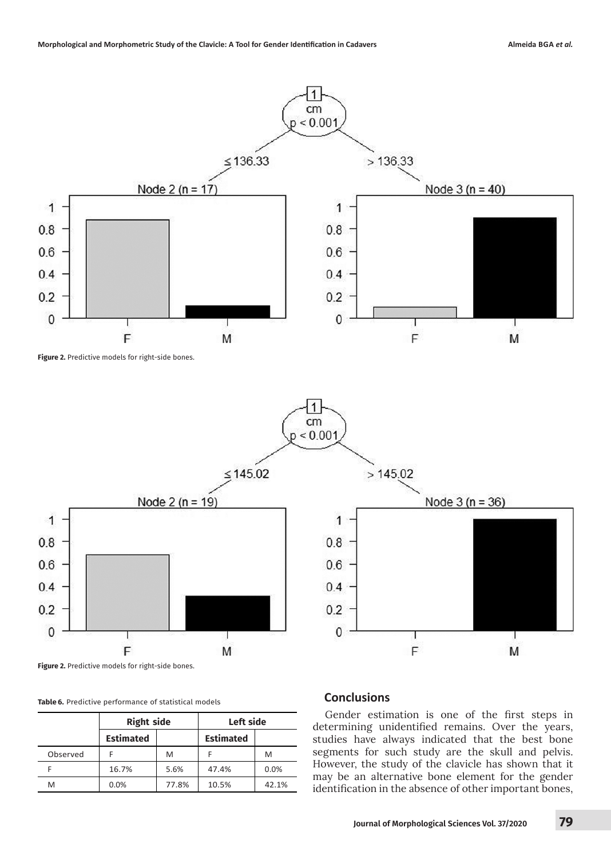

1  $cm$  $< 0.001$ 

 $0.8$ 

0.6

 $0.4$ 

 $0.2$ 

 $\mathbf{0}$ 



**Figure 2.** Predictive models for right-side bones.

|          | <b>Right side</b> |       | Left side        |       |  |
|----------|-------------------|-------|------------------|-------|--|
|          | <b>Estimated</b>  |       | <b>Estimated</b> |       |  |
| Observed |                   | M     |                  | M     |  |
|          | 16.7%             | 5.6%  | 47.4%            | 0.0%  |  |
| M        | 0.0%              | 77.8% | 10.5%            | 42.1% |  |

## **Table 6.** Predictive performance of statistical models **Conclusions**

 $>145.02$ 

Gender estimation is one of the first steps in determining unidentified remains. Over the years, studies have always indicated that the best bone segments for such study are the skull and pelvis. However, the study of the clavicle has shown that it may be an alternative bone element for the gender identification in the absence of other important bones,

F

Node  $3(n = 36)$ 

M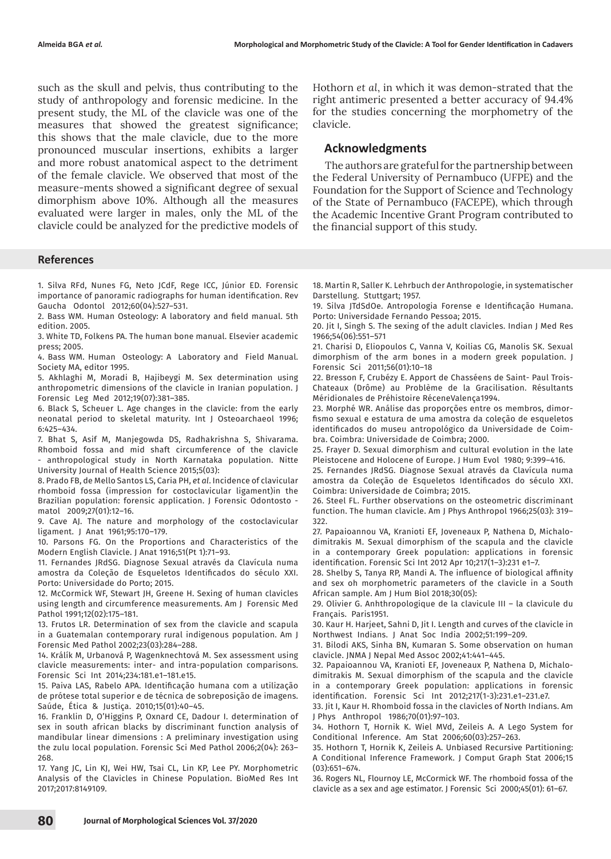such as the skull and pelvis, thus contributing to the study of anthropology and forensic medicine. In the present study, the ML of the clavicle was one of the measures that showed the greatest significance; this shows that the male clavicle, due to the more pronounced muscular insertions, exhibits a larger and more robust anatomical aspect to the detriment of the female clavicle. We observed that most of the measure-ments showed a significant degree of sexual dimorphism above 10%. Although all the measures evaluated were larger in males, only the ML of the clavicle could be analyzed for the predictive models of

#### **References**

1. Silva RFd, Nunes FG, Neto JCdF, Rege ICC, Júnior ED. Forensic importance of panoramic radiographs for human identification. Rev Gaucha Odontol 2012;60(04):527–531.

2. Bass WM. Human Osteology: A laboratory and field manual. 5th edition. 2005.

3. White TD, Folkens PA. The human bone manual. Elsevier academic press; 2005.

4. Bass WM. Human Osteology: A Laboratory and Field Manual. Society MA, editor 1995.

5. Akhlaghi M, Moradi B, Hajibeygi M. Sex determination using anthropometric dimensions of the clavicle in Iranian population. J Forensic Leg Med 2012;19(07):381–385.

6. Black S, Scheuer L. Age changes in the clavicle: from the early neonatal period to skeletal maturity. Int J Osteoarchaeol 1996; 6:425–434.

7. Bhat S, Asif M, Manjegowda DS, Radhakrishna S, Shivarama. Rhomboid fossa and mid shaft circumference of the clavicle - anthropological study in North Karnataka population. Nitte University Journal of Health Science 2015;5(03):

8. Prado FB, de Mello Santos LS, Caria PH, *et al*. Incidence of clavicular rhomboid fossa (impression for costoclavicular ligament)in the Brazilian population: forensic application. J Forensic Odontosto matol 2009;27(01):12–16.

9. Cave AJ. The nature and morphology of the costoclavicular ligament. J Anat 1961;95:170–179.

10. Parsons FG. On the Proportions and Characteristics of the Modern English Clavicle. J Anat 1916;51(Pt 1):71–93.

11. Fernandes JRdSG. Diagnose Sexual através da Clavícula numa amostra da Coleção de Esqueletos Identificados do século XXI. Porto: Universidade do Porto; 2015.

12. McCormick WF, Stewart JH, Greene H. Sexing of human clavicles using length and circumference measurements. Am J Forensic Med Pathol 1991;12(02):175–181.

13. Frutos LR. Determination of sex from the clavicle and scapula in a Guatemalan contemporary rural indigenous population. Am J Forensic Med Pathol 2002;23(03):284–288.

14. Králík M, Urbanová P, Wagenknechtová M. Sex assessment using clavicle measurements: inter- and intra-population comparisons. Forensic Sci Int 2014;234:181.e1–181.e15.

15. Paiva LAS, Rabelo APA. Identificação humana com a utilização de prótese total superior e de técnica de sobreposição de imagens. Saúde, Ética & Justiça. 2010;15(01):40–45.

16. Franklin D, O'Higgins P, Oxnard CE, Dadour I. determination of sex in south african blacks by discriminant function analysis of mandibular linear dimensions : A preliminary investigation using the zulu local population. Forensic Sci Med Pathol 2006;2(04): 263– 268.

17. Yang JC, Lin KJ, Wei HW, Tsai CL, Lin KP, Lee PY. Morphometric Analysis of the Clavicles in Chinese Population. BioMed Res Int 2017;2017:8149109.

Hothorn *et al*, in which it was demon-strated that the right antimeric presented a better accuracy of 94.4% for the studies concerning the morphometry of the clavicle.

#### **Acknowledgments**

The authors are grateful for the partnership between the Federal University of Pernambuco (UFPE) and the Foundation for the Support of Science and Technology of the State of Pernambuco (FACEPE), which through the Academic Incentive Grant Program contributed to the financial support of this study.

18. Martin R, Saller K. Lehrbuch der Anthropologie, in systematischer Darstellung. Stuttgart; 1957.

19. Silva JTdSdOe. Antropologia Forense e Identificação Humana. Porto: Universidade Fernando Pessoa; 2015.

20. Jit I, Singh S. The sexing of the adult clavicles. Indian J Med Res 1966;54(06):551–571

21. Charisi D, Eliopoulos C, Vanna V, Koilias CG, Manolis SK. Sexual dimorphism of the arm bones in a modern greek population. J Forensic Sci 2011;56(01):10–18

22. Bresson F, Crubézy E. Apport de Chasséens de Saint- Paul Trois-Chateaux (Drôme) au Problème de la Gracilisation. Résultants Méridionales de Préhistoire RéceneValença1994.

23. Morphé WR. Análise das proporções entre os membros, dimorfismo sexual e estatura de uma amostra da coleção de esqueletos identificados do museu antropológico da Universidade de Coimbra. Coimbra: Universidade de Coimbra; 2000.

25. Frayer D. Sexual dimorphism and cultural evolution in the late Pleistocene and Holocene of Europe. J Hum Evol 1980; 9:399–416.

25. Fernandes JRdSG. Diagnose Sexual através da Clavícula numa amostra da Coleção de Esqueletos Identificados do século XXI. Coimbra: Universidade de Coimbra; 2015.

26. Steel FL. Further observations on the osteometric discriminant function. The human clavicle. Am J Phys Anthropol 1966;25(03): 319– 322.

27. Papaioannou VA, Kranioti EF, Joveneaux P, Nathena D, Michalodimitrakis M. Sexual dimorphism of the scapula and the clavicle in a contemporary Greek population: applications in forensic identification. Forensic Sci Int 2012 Apr 10;217(1–3):231 e1–7.

28. Shelby S, Tanya RP, Mandi A. The influence of biological affinity and sex oh morphometric parameters of the clavicle in a South African sample. Am J Hum Biol 2018;30(05):

29. Olivier G. Anhthropologique de la clavicule III – la clavicule du Français. Paris1951.

30. Kaur H. Harjeet, Sahni D, Jit I. Length and curves of the clavicle in Northwest Indians. J Anat Soc India 2002;51:199–209.

31. Bilodi AKS, Sinha BN, Kumaran S. Some observation on human clavicle. JNMA J Nepal Med Assoc 2002;41:441–445.

32. Papaioannou VA, Kranioti EF, Joveneaux P, Nathena D, Michalodimitrakis M. Sexual dimorphism of the scapula and the clavicle in a contemporary Greek population: applications in forensic identification. Forensic Sci Int 2012;217(1-3):231.e1–231.e7.

33. Jit I, Kaur H. Rhomboid fossa in the clavicles of North Indians. Am J Phys Anthropol 1986;70(01):97–103.

34. Hothorn T, Hornik K. Wiel MVd, Zeileis A. A Lego System for Conditional Inference. Am Stat 2006;60(03):257–263.

35. Hothorn T, Hornik K, Zeileis A. Unbiased Recursive Partitioning: A Conditional Inference Framework. J Comput Graph Stat 2006;15  $(03):651-674.$ 

36. Rogers NL, Flournoy LE, McCormick WF. The rhomboid fossa of the clavicle as a sex and age estimator. J Forensic Sci 2000;45(01): 61–67.